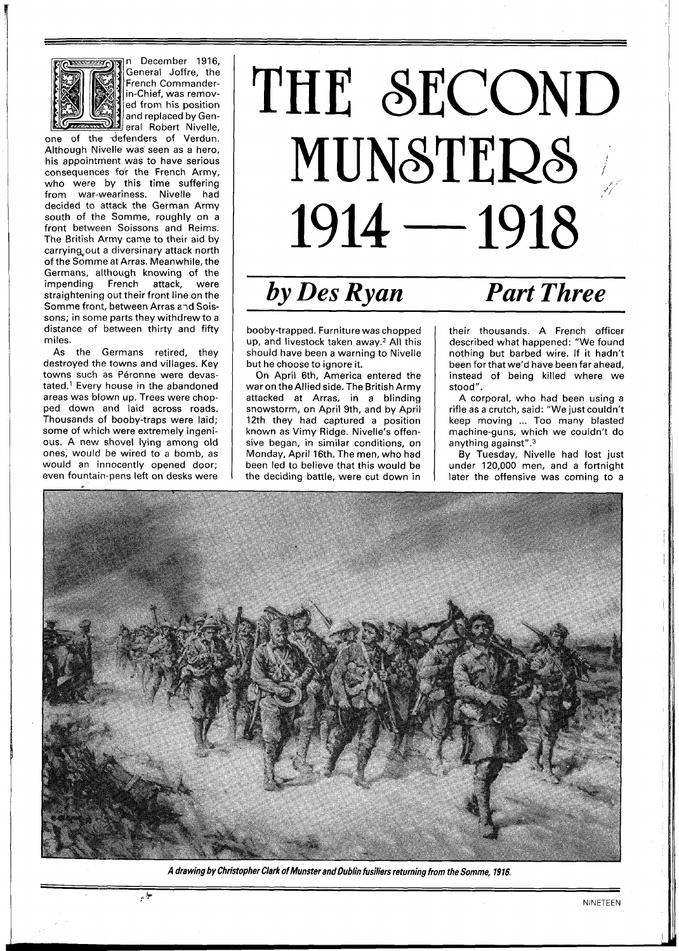

n December 1916, General Joffre, the French Commanderin-Chief, was removed from his position and replaced by General Robert Nivelle, one of the defenders of Verdun.

Although Nivelle was seen as a hero, his appointment was to have serious consequences for the French Army, who were by this time suffering from war-weariness. Nivelle had decided to attack the German Army south of the Somme, roughly on a front between Soissons and Reims. The British Army came to their aid by carrying out a diversinary attack north of the Somme at Arras. Meanwhile, the Germans, although knowing of the<br>impending French attack, were French attack, were straightening out their front line on the Somme front, between Arras a~d Soissons; in some parts they withdrew to a distance of between thirty and fifty miles.

As the Germans retired, they destroyed the towns and villages. Key towns such as Péronne were devastated.<sup>1</sup> Every house in the abandoned areas was blown up. Trees were chopped down and laid across roads. Thousands of booby-traps were laid; some of which were extremely ingenious. A new shovel lying among old ones, would be wired to a bomb, as would an innocently opened door; even fountain-pens left on desks were

4, **b** 

## THE SECOND<br>MUNSTERS  $1914 - 1918$

## $\overline{b}$  *by Des Ryan* Part Three

booby-trapped. Furniture was chopped up, and livestock taken away.2 All this should have been a warning to Nivelle but he choose to ignore it.

On April 6th, America entered the war on the Allied side. The British Army attacked at Arras, in a blinding snowstorm, on April 9th, and by April 12th they had captured a position known as Vimy Ridge. Nivelle's offensive began, in similar conditions, on Monday, April 16th. The men, who had been led to believe that this would be the deciding battle, were cut down in

their thousands. A French officer described what happened: "We found nothing but barbed wire. If it hadn't been forthat we'd have been far ahead, instead of being killed where we stood".

A corporal, who had been using a rifle as a crutch, said: "We just couldn't keep moving ... Too many blasted machine-guns, which we couldn't do anything against". $3$ 

By Tuesday, Nivelle had lost just under 120,000 men, and a fortnight later the offensive was coming to a



**A drawing by Christopher Clark of Munster and Dublin fusiliers returning from the Somme, 1916.**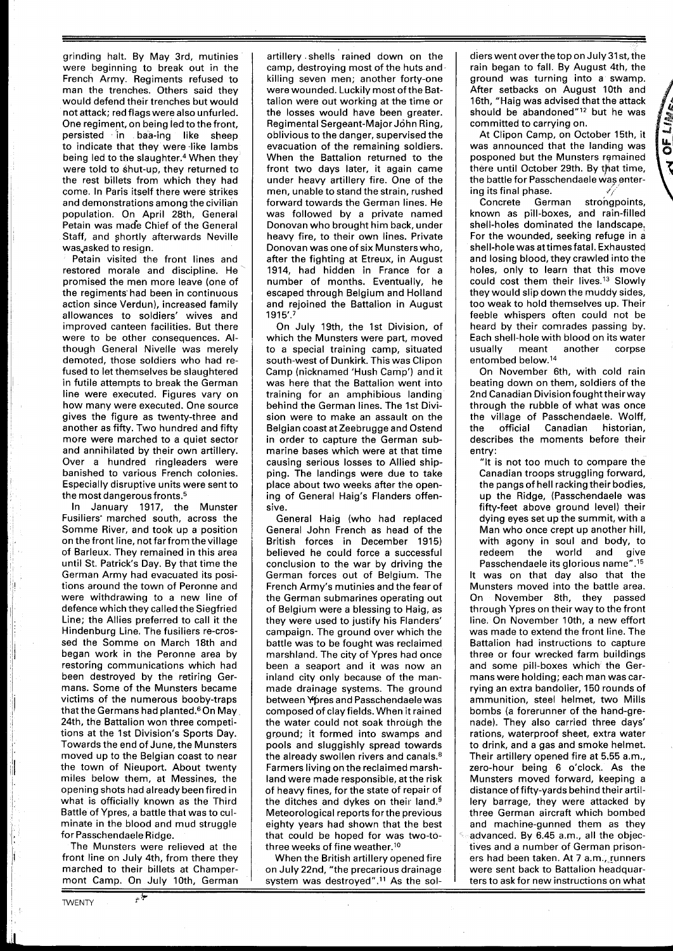grinding halt. By May 3rd, mutinies were beginning to break out in the French Army. Regiments refused to man the trenches. Others said they would defend their trenches but would not attack; red flags were also unfurled. One regiment, on being led to the front, persisted in baa-ing like sheep to indicate that they were like lambs being led to the slaughter.<sup>4</sup> When they were told to shut-up, they returned to the rest billets from which they had come. In Paris itself there were strikes and demonstrations among the civilian population. On April 28th, General Petain was made Chief of the General Staff, and shortly afterwards Neville was,asked to resign.

Petain visited the front lines and restored morale and discipline. He promised the men more leave (one of the regiments'had been in continuous action since Verdun), increased family allowances to soldiers' wives and improved canteen facilities. But there were to be other consequences. Although General Nivelle was merely demoted, those soldiers who had refused to let themselves be slaughtered in futile attempts to break the German line were executed. Figures vary on how many were executed. One source gives the figure as twenty-three and another as fifty. Two hundred and fifty more were marched to a quiet sector and annihilated by their own artillery. Over a hundred ringleaders were banished to various French colonies. Especially disruptive units were sent to the most dangerous fronts.<sup>5</sup>

In January 1917, the Munster Fusiliers' marched south, across the Somme River, and took up a position on the front line, not farfrom thevillage of Barleux. They remained in this area until St. Patrick's Day. By that time the German Army had evacuated its positions around the town of Peronne and were withdrawing to a new line of defence which they called the Siegfried Line; the Allies preferred to call it the Hindenburg Line. The fusiliers re-crossed the Somme on March 18th and began work in the Peronne area by restoring communications which had been destroyed by the retiring Germans. Some of the Munsters became victims of the numerous booby-traps that the Germans had planted.<sup>6</sup> On May 24th, the Battalion won three competitions at the 1st Division's Sports Day. Towards the end of June, the Munsters moved up to the Belgian coast to near the town of Nieuport. About twenty miles below them, at Messines, the opening shots had already beenfired in what is officially known as the Third Battle of Ypres, a battle that was to culminate in the blood and mud struggle for Passchendaele Ridge.

The Munsters were relieved at the front line on July 4th, from there they marched to their billets at Champermont Camp. On July 10th, German

ی پ

artillery .shells rained down on the camp, destroying most of the huts and killing seven men; another forty-one were wounded. Luckily most of the Battalion were out working at the time or the losses would have been greater. Regimental Sergeant-Major John Ring, oblivious to the danger, supervised the evacuation of the remaining soldiers. When the Battalion returned to the front two days later, it again came under heavy artillery fire. One of the men, unable to stand the strain, rushed forward towards the German lines. He was followed by a private named Donovan who brought him back, under heavy fire, to their own lines. Private Donovan was one of six Munsters who, after the fighting at Etreux, in August 1914, had hidden in France for a number of months. Eventually, he escaped through Belgium and Holland and rejoined the Battalion in August 1915'.7

On July 19th, the 1st Division, of which the Munsters were part, moved to a special training camp, situated south-west of Dunkirk. This was Clipon Camp (nicknamed 'Hush Camp') and it was here that the Battalion went into training for an amphibious landing behind the German lines. The 1st Division were to make an assault on the Belgian coast at Zeebrugge and Ostend in order to capture the German submarine bases which were at that time causing serious losses to Allied shipping. The landings were due to take place about two weeks after the opening of General Haig's Flanders offensive.

General Haig (who had replaced General John French as head of the British forces in December 1915) believed he could force a successful conclusion to the war by driving the German forces out of Belgium. The French Army's mutinies and the fear of the German submarines operating out of Belgium were a blessing to Haig, as they were used to justify his Flanders' campaign. The ground over which the battle was to be fought was reclaimed marshland. The city of Ypres had once been a seaport and it was now an inland city only because of the manmade drainage systems. The ground between Ypres and Passchendaele was composed of clay fields. When it rained the water could not soak through the ground; it formed into swamps and pools and sluggishly spread towards the already swollen rivers and canals.<sup>8</sup> Farmers living on the reclaimed marshland were made responsible, at the risk of heavy fines, for the state of repair of the ditches and dykes on their land.<sup>9</sup> Meteorological reports forthe previous eighty years had shown that the best that could be hoped for was two-tothree weeks of fine weather.1°

When the British artillery opened fire on July 22nd, "the precarious drainage system was destroyed".<sup>11</sup> As the sol-

dierswent overthe top on July 3lst, the rain began to fall. By August 4th, the ground was turning into a swamp. After setbacks on August 10th and 16th, "Haig was advised that the attack should be abandoned"12 but he was committed to carrying on.

At Clipon Camp, on October 15th, it was announced that the landing was posponed but the Munsters remained there until October 29th. By that time, the battle for Passchendaele was entering its final phase.

**OF LIST** 

 $\bar{\mathbf{r}}$ 

Concrete German strongpoints, known as pill-boxes, and rain-filled shell-holes dominated the landscape. For the wounded, seeking refuge in a shell-hole was attimes fatal. Exhausted and losing blood, they crawled into the holes, only to learn that this move could cost them their lives.13 Slowly they would slip down the muddy sides, too weak to hold themselves up. Their feeble whispers often could not be heard by their comrades passing by. Each shell-hole with blood on its water usually meant another corpse entombed below.14

On November 6th, with cold rain beating down on them, soldiers of the 2nd Canadian Division fought their way through the rubble of what was once the village of Passchendaele. Wolff, the official Canadian historian, describes the moments before their entry:

"It is not too much to compare the Canadian troops struggling forward, the pangs of hell racking their bodies, up the Ridge, (Passchendaele was fifty-feet above ground level) their dying eyes set up the summit, with a Man who once crept up another hill, with agony in soul and body, to redeem the world and give

Passchendaele its glorious name".15 It was on that day also that the Munsters moved into the battle area. On November 8th, they passed through Ypres on their way to the front line. On November 10th, a new effort was made to extend the front line. The Battalion had instructions to capture three or four wrecked farm buildings and some pill-boxes which the Germans were holding; each man was carrying an extra bandolier, 150 rounds of ammunition, steel helmet, two Mills bombs (a forerunner of the hand-grenade). They also carried three days' rations, waterproof sheet, extra water to drink, and a gas and smoke helmet. Their artillery opened fire at 5.55 a.m., zero-hour being 6 o'clock. As the Munsters moved forward, keeping a distance of fifty-yards behind their artillery barrage, they were attacked by three German aircraft which bombed and machine-gunned them as they advanced. By 6.45 a.m., all the objectives and a number of German prisoners had been taken. At 7 a.m., runners were sent back to Battalion headquarters to ask for new instructions on what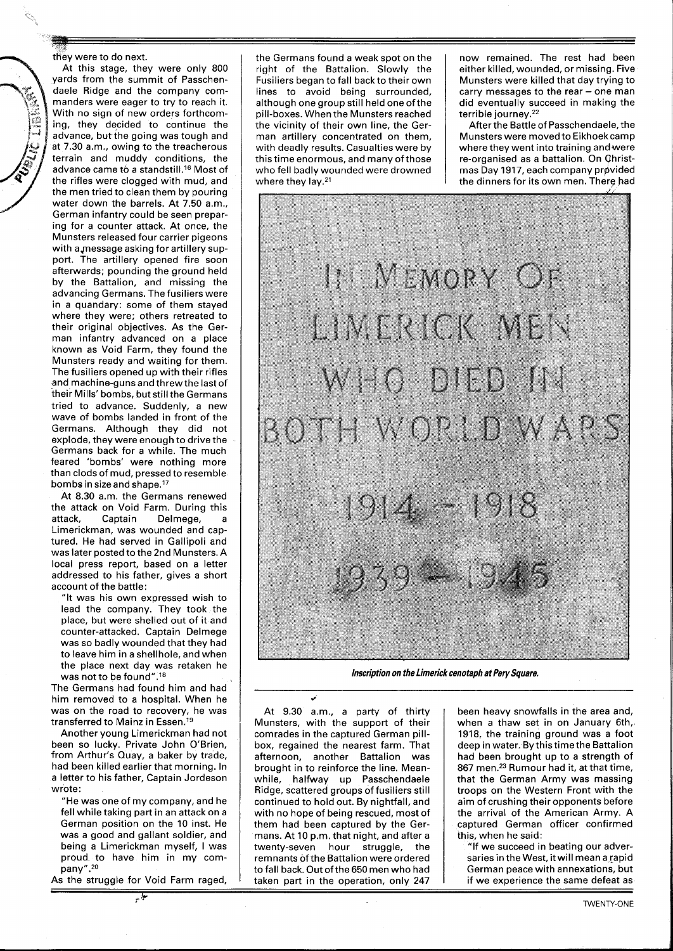they were to do next.

At this stage, they were only 800 yards from the summit of Passchendaele Ridge and the company commanders were eager to try to reach it. With no sign of new orders forthcoming, they decided to continue the advance, but the going was tough and at 7.30 a.m., owing to the treacherous terrain and muddy conditions, the advance came to a standstill.16 Most of the rifles were clogged with mud, and the men tried to clean them by pouring water down the barrels. At 7.50 a.m., German infantry could be seen preparing for a counter attack. At once, the Munsters released four carrier pigeons with a message asking for artillery support. The artillery opened fire soon afterwards; pounding the ground held by the Battalion, and missing the advancing Germans. The fusiliers were in a quandary: some of them stayed where they were; others retreated to their original objectives. As the German infantry advanced on a place known as Void Farm, they found the Munsters ready and waiting for them. The fusiliers opened up with their rifles and machine-guns and threwthe last of their Mills' bombs, but still the Germans tried to advance. Suddenly, a new wave of bombs landed in front of the Germans. Although they did not explode, they were enough to drive the Germans back for a while. The much feared 'bombs' were nothing more than clods of mud, pressed to resemble bombs in size and shape.<sup>17</sup>

At 8.30 a.m. the Germans renewed the attack on Void Farm. During this attack, Captain Delmege, a Limerickman, was wounded and captured. He had served in Gallipoli and was later posted to the 2nd Munsters. A local press report, based on a letter addressed to his father, gives a short account of the battle:

"It was his own expressed wish to lead the company. They took the place, but were shelled out of it and counter-attacked. Captain Delmege was so badly wounded that they had to leave him in a shellhole, and when the place next day was retaken he was not to be found".18

The Germans had found him and had him removed to a hospital. When he was on the road to recovery, he was transferred to Mainz in Essen.<sup>19</sup>

Another young Limerickman had not been so lucky. Private John O'Brien, from Arthur's Quay, a baker by trade, had been killed earlier that morning. In a letter to his father, Captain Jordeson wrote:

"He was one of my company, and he fell while taking part in an attack on a German position on the 10 inst. He was a good and gallant soldier, and being a Limerickman myself, I was proud to have him in my company".<sup>20</sup>

As the struggle for Void Farm raged, **p** &-

the Germans found a weak spot on the right of the Battalion. Slowly the Fusiliers began to fall back to their own lines to avoid being surrounded, although one group still held one ofthe pill-boxes. When the Munsters reached the vicinity of their own line, the German artillery concentrated on them, with deadly results. Casualties were by this time enormous, and many of those who fell badly wounded were drowned where they lay.<sup>21</sup>

now remained. The rest had been either killed, wounded, or missing. Five Munsters were killed that day trying to carry messages to the rear - one man did eventually succeed in making the terrible journey.<sup>22</sup>

After the Battle of Passchendaele, the Munsters were moved to Eikhoekcamp where they went into training andwere re-organised as a battalion. On Qhristmas Day 1917, each company provided the dinners for its own men. Therg had



**Inscription on the Limerick cenotaph at Pery Square.** 

**J**  At 9.30 a.m., a party of thirty Munsters, with the support of their comrades in the captured German pillbox, regained the nearest farm. That afternoon, another Battalion was brought in to reinforce the line. Meanwhile, halfway up Passchendaele Ridge, scattered groups of fusiliers still continued to hold out. By nightfall, and with no hope of being rescued, most of them had been captured by the Germans. At 10 p.m. that night, and after a twenty-seven hour struggle, the remnants of the Battalion were ordered to fall back. Out of the 650 men who had taken part in the operation, only 247

been heavy snowfalls in the area and, when a thaw set in on January 6th, 1918, the training ground was a foot deep in water. By thistime the Battalion had been brought up to a strength of 867 men.23 Rumour had it, at that time, that the German Army was massing troops on the Western Front with the aim of crushing their opponents before the arrival of the American Army. A captured German officer confirmed this, when he said:

"If we succeed in beating our adversaries in the West, it will mean a rapid German peace with annexations, but if we experience the same defeat as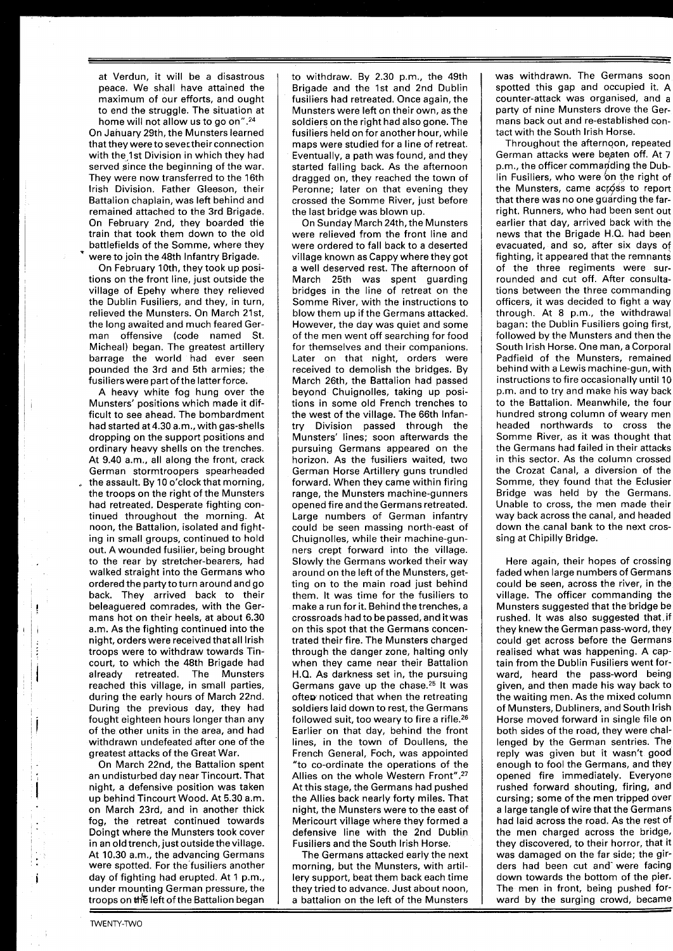at Verdun, it will be a disastrous peace. We shall have attained the maximum of our efforts, and ought to end the struggle. The situation at home will not allow us to go on".24

On January 29th, the Munsters learned that they wereto severtheir connection with the 1st Division in which they had served since the beginning of the war. They were now transferred to the 16th lrish Division. Father Gleeson, their Battalion chaplain, was left behind and remained attached to the 3rd Brigade. On February 2nd, they boarded the train that took them down to the old battlefields of the Somme, where they were to join the 48th Infantry Brigade.

On February 10th, they took up positions on the front line, just outside the village of Epehy where they relieved the Dublin Fusiliers, and they, in turn, relieved the Munsters. On March 21st, the long awaited and much feared German offensive (code named St. Micheal) began. The greatest artillery barrage the world had ever seen pounded the 3rd and 5th armies; the fusilierswere part of the latter force.

A heavy white fog hung over the Munsters' positions which made it difficult to see ahead. The bombardment had started at 4.30 a.m., with gas-shells dropping on the support positions and ordinary heavy shells on the trenches. At 9.40 am., all along the front, crack German stormtroopers spearheaded the assault. By 10 o'clock that morning, the troops on the right of the Munsters had retreated. Desperate fighting continued throughout the morning. At noon, the Battalion, isolated and fighting in small groups, continued to hold out. A wounded fusilier, being brought to the rear by stretcher-bearers, had walked straight into the Germans who ordered the party to turn around and go back. They arrived back to their beleaguered comrades, with the Germans hot on their heels, at about 6.30 am. As the fighting continued into the night, orderswere received that all Irish troops were to withdraw towards Tincourt, to which the 48th Brigade had already retreated. The Munsters reached this village, in small parties, during the early hours of March 22nd. During the previous day, they had fought eighteen hours longer than any of the other units in the area, and had withdrawn undefeated after one of the greatest attacks of the Great War.

On March 22nd, the Battalion spent an undisturbed day near Tincourt. That night, a defensive position was taken up behind Tincourt Wood. At 5.30 a.m. on March 23rd, and in another thick fog, the retreat continued towards Doingt where the Munsters took cover in an old trench, just outside thevillage. At 10.30 a.m., the advancing Germans were spotted. For the fusiliers another day of fighting had erupted. At 1 p.m., under mounting German pressure, the

to withdraw. By 2.30 p.m., the 49th Brigade and the 1st and 2nd Dublin fusiliers had retreated. Once again, the Munsters were left on their own, as the soldiers on the right had also gone. The fusiliers held on for another hour, while maps were studied for a line of retreat. Eventually, a path was found, and they started falling back. As the afternoon dragged on, they reached the town of Peronne; later on that evening they crossed the Somme River, just before the last bridge was blown up.

On Sunday March 24th, the Munsters were relieved from the front line and were ordered to fall back to a deserted village known as Cappy where they got a well deserved rest. The afternoon of March 25th was spent guarding bridges in the line of retreat on the Somme River, with the instructions to blow them up if the Germans attacked. However, the day was quiet and some of the men went off searching for food for themselves and their companions. Later on that night, orders were received to demolish the bridges. By March 26th, the Battalion had passed beyond Chuignolles, taking up positions in some old French trenches to the west of the village. The 66th Infantry Division passed through the Munsters' lines; soon afterwards the pursuing Germans appeared on the horizon. As the fusiliers waited, two German Horse Artillery guns trundled forward. When they came within firing range, the Munsters machine-gunners opened fire and the Germans retreated. Large numbers of German infantry could be seen massing north-east of Chuignolles, while their machine-gunners crept forward into the village. Slowly the Germans worked their way around on the left of the Munsters, getting on to the main road just behind them. It was time for the fusiliers to make a run for it. Behind the trenches, a crossroads had to be passed, and it was on this spot that the Germans concentrated their fire. The Munsters charged through the danger zone, halting only when they came near their Battalion H.Q. As darkness set in, the pursuing Germans gave up the chase.25 It was often noticed that when the retreating soldiers laid down to rest, the Germans followed suit, too weary to fire a rifle.<sup>26</sup> Earlier on that day, behind the front lines, in the town of Doullens, the French General, Foch, was appointed "to co-ordinate the operations of the Allies on the whole Western Front".<sup>27</sup> At this stage, the Germans had pushed the Allies back nearly forty miles. That night, the Munsters were to the east of Mericourt village where they formed a defensive line with the 2nd Dublin Fusiliers and the South lrish Horse.

troops on the left of the Battalion began  $\;\;\; | \;\;\;$  a battalion on the left of the Munsters  $\;\;\; | \;\;\;$  ward by the surging The Germans attacked early the next morning, but the Munsters, with artillery support, beat them back each time they tried to advance. Just about noon,

was withdrawn. The Germans soon spotted this gap and occupied it. A counter-attack was organised, and a party of nine Munsters drove the Germans back out and re-established contact with the South lrish Horse.

Throughout the afternoon, repeated German attacks were beaten off. At 7<br>p.m., the officer commanding the Dublin Fusiliers, who were 'on the right of the Munsters, came acróss to report that there was no one guarding the farright. Runners, who had been sent out earlier that day, arrived back with the news that the Brigade H.Q. had been evacuated, and so, after six days of fighting, it appeared that the remnants of the three regiments were surrounded and cut off. After consultations between the three commanding officers, it was decided to fight a way through. At 8 p.m., the withdrawal bagan: the Dublin Fusiliers going first, followed by the Munsters and then the South lrish Horse. One man, a Corporal Padfield of the Munsters, remained behind with a Lewis machine-gun, with instructions to fire occasionally until 10 p.m. and to try and make his way back to the Battalion. Meanwhile, the four hundred strong column of weary men headed northwards to cross the Somme River, as it was thought that the Germans had failed in their attacks in this sector. As the column crossed the Crozat Canal, a diversion of the Somme, they found that the Eclusier Bridge was held by the Germans. Unable to cross, the men made their way back across the canal, and headed down the canal bank to the next crossing at Chipilly Bridge.

Here again, their hopes of crossing faded when large numbers of Germans could be seen, across the river, in the village. The officer commanding the Munsters suggested that the bridge be rushed. It was also suggested that.if they knew the German pass-word, they could get across before the Germans realised what was happening. A captain from the Dublin Fusiliers went forward, heard the pass-word being given, and then made his way back to the waiting men. As the mixed column of Munsters, Dubliners, and South lrish Horse moved forward in single file on both sides of the road, they were challenged by the German sentries. The reply was given but it wasn't good enough to fool the Germans, and they opened fire immediately. Everyone rushed forward shouting, firing, and cursing; some of the men tripped over a large tangle of wire that the Germans had laid across the road. As the rest of the men charged across the bridge, they discovered, to their horror, that it was damaged on the far side; the girders had been cut and'were facing down towards the bottom of the pier. The men in front, being pushed forward by the surging crowd, became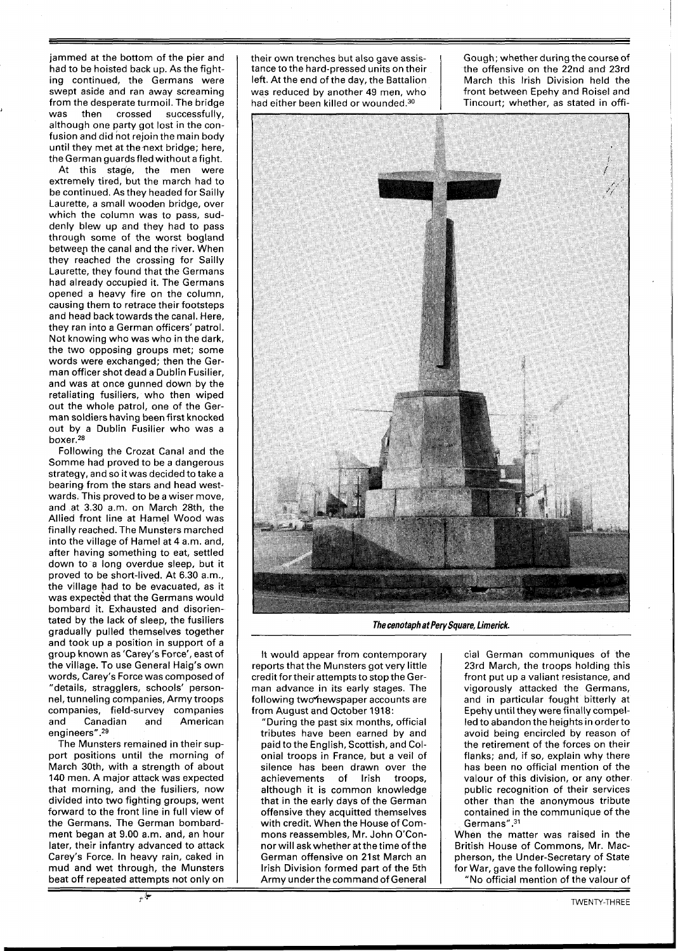jammed at the bottom of the pier and had to be hoisted back up. As the fighting continued, the Germans were swept aside and ran away screaming from the desperate turmoil. The bridge<br>was then crossed successfully, crossed successfully, although one party got lost in the confusion and did not rejoin the main body until they met at the next bridge; here, the German guards fled without a fight.

At this stage, the men were extremely tired, but the march had to be continued. As they headed for Sailly Laurette, a small wooden bridge, over which the column was to pass, suddenly blew up and they had to pass through some of the worst bogland betweep the canal and the river. When they reached the crossing for Sailly Laurette, they found that the Germans had already occupied it. The Germans opened a heavy fire on the column, causing them to retrace their footsteps and head back towards the canal. Here, they ran into a German officers' patrol. Not knowing who was who in the dark, the two opposing groups met; some words were exchanged; then the German officer shot dead a Dublin Fusilier, and was at once gunned down by the retaliating fusiliers, who then wiped out the whole patrol, one of the German soldiers having been first knocked out by a Dublin Fusilier who was a boxer.<sup>28</sup>

Following the Crozat Canal and the Somme had proved to be a dangerous strategy, and so it was decided to take a bearing from the stars and head westwards. This proved to be a wiser move, and at 3.30 a.m. on March 28th, the Allied front line at Hamel Wood was finally reached. The Munsters marched into the village of Hamel at 4 a.m. and, after having something to eat, settled down to a long overdue sleep, but it proved to be short-lived. At 6.30 a.m., the village had to be evacuated, as it was expected that the Germans would bombard it. Exhausted and disorientated by the lack of sleep, the fusiliers gradually pulled themselves together and took up a position in support of a group known as 'Carey's Force', east of the village. To use General Haig's own words, Carey's Force was composed of "details, stragglers, schools' personnel, tunneling companies, Army troops companies, field-survey companies Canadian and American engineers".<sup>29</sup>

The Munsters remained in their support positions until the morning of March 30th, with a strength of about 140 men. A major attack was expected that morning, and the fusiliers, now divided into two fighting groups, went forward to the front line in full view of the Germans. The German bombardment began at 9.00 a.m. and, an hour later, their infantry advanced to attack Carey's Force. In heavy rain, caked in mud and wet through, the Munsters beat off repeated attempts not only on

their own trenches but also gave assistance to the hard-pressed units on their left. At the end of the day, the Battalion was reduced by another 49 men, who had either been killed or wounded.<sup>30</sup>

Gough; whether during the course of the offensive on the 22nd and 23rd March this lrish Division held the front between Epehy and Roisel and Tincourt; whether, as stated in offi-



**The cenotaph at Pery Square, Limerick.** 

It would appear from contemporary reports that the Munsters got very little credit fortheir attempts to stop the German advance in its early stages. The following two\*hewspaper accounts are from August and October 1918:

"During the past six months, official tributes have been earned by and paid to the English, Scottish, and Colonial troops in France, but a veil of silence has been drawn over the achievements of lrish troops, although it is common knowledge that in the early days of the German offensive they acquitted themselves with credit. When the House of Commons reassembles, Mr. John O'Connor will askwhether at the time of the German offensive on 21st March an lrish Division formed part of the 5th Army under the command of General

cial German communiques of the 23rd March, the troops holding this front put up a valiant resistance, and vigorously attacked the Germans, and in particular fought bitterly at Epehy until they were finally compelled to abandon the heights in orderto avoid being encircled by reason of the retirement of the forces on their flanks; and, if so, explain why there has been no official mention of the valour of this division, or any other public recognition of their services other than the anonymous tribute contained in the communique of the Germans".<sup>31</sup>

When the matter was raised in the British House of Commons, Mr. Macpherson, the Under-Secretary of State for War, gave the following reply:

"No official mention of the valour of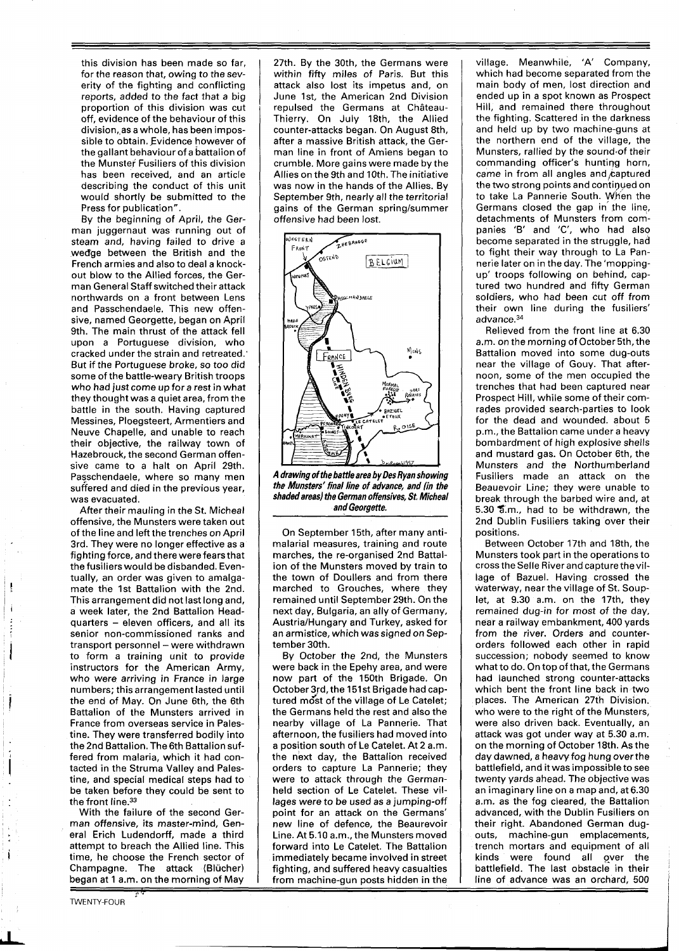this division has been made so far, for the reason that, owing to the severity of the fighting and conflicting reports, added to the fact that a big proportion of this division was cut off, evidence of the behaviour of this division,,as a whole, has been impossible to obtain. Evidence however of the gallant behaviour of a battalion of the Munster Fusiliers of this division has been received, and an article describing the conduct of this unit would shortly be submitted to the Press for publication".

By the beginning of April, the German juggernaut was running out of steam and, having failed to drive a wedge between the British and the French armies and also to deal a knockout blow to the Allied forces, the German General Staff switched their attack northwards on a front between Lens and Passchendaele. This new offensive, named Georgette, began on April 9th. The main thrust of the attack fell upon a Portuguese division, who cracked under the strain and retreated., But if the Portuguese broke, so too did some of the battle-weary British troops who had just come up for a rest in what they thought was a quiet area, from the battle in the south. Having captured Messines, Ploegsteert, Armentiers and Neuve Chapelle, and unable to reach their objective, the railway town of Hazebrouck, the second German offensive came to a halt on April 29th. Passchendaele, where so many men suffered and died in the previous year, was evacuated.

After their mauling in the St. Micheal offensive, the Munsters were taken out of the line and left the trenches on April 3rd. They were no longer effective as a fighting force, and there were fearsthat the fusiliers would be disbanded. Eventually, an order was given to amalgamate the 1st Battalion with the 2nd. This arrangement did not last long and, a week later, the 2nd Battalion Headquarters - eleven officers, and all its senior non-commissioned ranks and transport personnel - were withdrawn to form a training unit to provide instructors for the American Army, who were arriving in France in large numbers; this arrangement lasted until the end of May. On June 6th, the 6th Battalion of the Munsters arrived in France from overseas service in Palestine. They were transferred bodily into the 2nd Battalion. The 6th Battalion suffered from malaria, which it had contacted in the Struma Valley and Palestine, and special medical steps had to be taken before they could be sent to the front line.<sup>33</sup>

With the failure of the second German offensive, its master-mind, General Erich Ludendorff, made a third attempt to breach the Allied line. This time, he choose the French sector of Champagne. The attack (Blücher) began at 1 a.m. on the morning of May<br>**i** 

TWENTY-FOUR

27th. By the 30th, the Germans were within fifty miles of Paris. But this attack also lost its impetus and, on June Ist, the American 2nd Division repulsed the Germans at Château-Thierry. On July 18th, the Allied counter-attacks began. On August 8th, after a massive British attack, the German line in front of Amiens began to crumble. More gains were made by the Allies on the 9th and 10th. The initiative was now in the hands of the Allies. By September 9th, nearly all the territorial gains of the German spring/summer offensive had been lost.



**A drawing of the baffle area by Des Ryan showing the Munsters' final line of advance, and (in the shaded areas) the German offensives, St. Micheal and Georgette.** 

On September 15th, after many antimalarial measures, training and route marches, the re-organised 2nd Battalion of the Munsters moved by train to the town of Doullers and from there marched to Grouches, where they remained until September 29th. On the next day, Bulgaria, an ally of Germany, AustrialHungary and Turkey, asked for an armistice, which was signed on September 30th.

By October the 2nd, the Munsters were back in the Epehy area, and were now part of the 150th Brigade. On October 3rd, the 151st Brigade had captured most of the village of Le Catelet; the Germans held the rest and also the nearby village of La Pannerie. That afternoon, the fusiliers had moved into a position south of Le Catelet. At 2 a.m. the next day, the Battalion received orders to capture La Pannerie; they were to attack through the Germanheld section of Le Catelet. These villages were to be used as a jumping-off point for an attack on the Germans' new line of defence, the Beaurevoir Line. At 5.10 a.m., the Munsters moved forward into Le Catelet. The Battalion immediately became involved in street fighting, and suffered heavy casualties from machine-gun posts hidden in the village. Meanwhile, 'A' Company, which had become separated from the main body of men, lost direction and ended up in a spot known as Prospect Hill, and remained there throughout the fighting. Scattered in the darkness and held up by two machine-guns at the northern end of the village, the Munsters, rallied by the sound.of their commanding officer's hunting horn, came in from all angles and  $c$ aptured the two strong points and continued on to take La Pannerie South. When the Germans closed the gap in the line, detachments of Munsters from companies 'B' and 'C', who had also become separated in the struggle, had to fight their way through to La Pannerie later on in the day. The 'moppingup' troops following on behind, captured two hundred and fifty German soldiers, who had been cut off from their own line during the fusiliers' advance.34

Relieved from the front line at 6.30 a.m. on the morning of October 5th, the Battalion moved into some dug-outs near the village of Gouy. That afternoon, some of the men occupied the trenches that had been captured near Prospect Hill, while some of their comrades provided search-parties to look for the dead and wounded. about 5 p.m., the Battalion came under a heavy bombardment of high explosive shells and mustard gas. On October 6th, the Munsters and the Northumberland Fusiliers made an attack on the Beauevoir Line; they were unable to break through the barbed wire and, at 5.30 %.m., had to be withdrawn, the 2nd Dublin Fusiliers taking over their positions.

Between October 17th and 18th, the Munsters took part in the operations to cross the Selle Riverand capturethevillage of Bazuel. Having crossed the waterway, near the village of St. Souplet, at 9.30 a.m. on the 17th, they remained dug-in for most of the day, near a railway embankment, 400 yards from the river. Orders and counterorders followed each other in rapid succession; nobody seemed to know what to do. On top of that, the Germans had launched strong counter-attacks which bent the front line back in two places. The American 27th Division. who were to the right of the Munsters, were also driven back. Eventually, an attack was got under way at 5.30 a.m. on the morning of October 18th. As the day dawned, a heavy fog hung overthe battlefield, and it was impossible to see twenty yards ahead. The objective was an imaginary line on a map and, at 6.30 am. as the fog cleared, the Battalion advanced, with the Dublin Fusiliers on their right. Abandoned German dugouts, machine-gun emplacements, trench mortars and equipment of all kinds were found all over the battlefield. The last obstacle in their line of advance was an orchard, 500

l

**d**